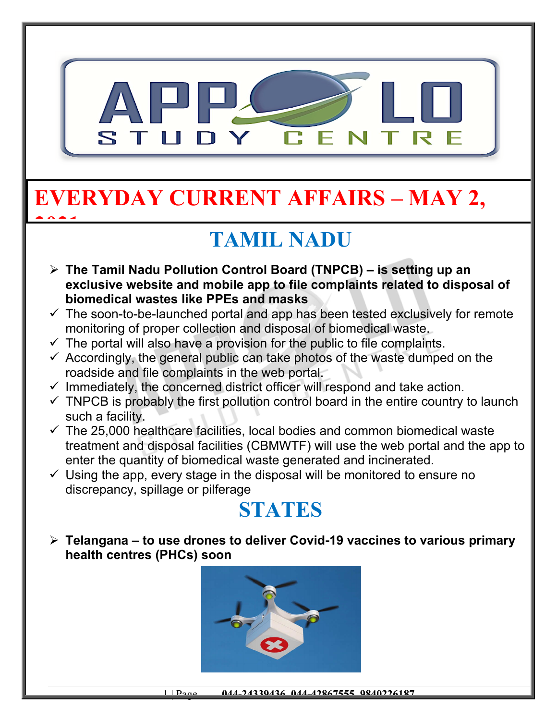

# **EVERYDAY CURRENT AFFAIRS – MAY 2,**

**2021**

## **TAMIL NADU**

- **The Tamil Nadu Pollution Control Board (TNPCB) is setting up an exclusive website and mobile app to file complaints related to disposal of biomedical wastes like PPEs and masks**
- $\checkmark$  The soon-to-be-launched portal and app has been tested exclusively for remote monitoring of proper collection and disposal of biomedical waste.
- $\checkmark$  The portal will also have a provision for the public to file complaints.
- $\checkmark$  Accordingly, the general public can take photos of the waste dumped on the roadside and file complaints in the web portal.
- $\checkmark$  Immediately, the concerned district officer will respond and take action.
- $\checkmark$  TNPCB is probably the first pollution control board in the entire country to launch such a facility.
- $\checkmark$  The 25,000 healthcare facilities, local bodies and common biomedical waste treatment and disposal facilities (CBMWTF) will use the web portal and the app to enter the quantity of biomedical waste generated and incinerated.
- $\checkmark$  Using the app, every stage in the disposal will be monitored to ensure no discrepancy, spillage or pilferage

### **STATES**

 **Telangana – to use drones to deliver Covid-19 vaccines to various primary health centres (PHCs) soon**

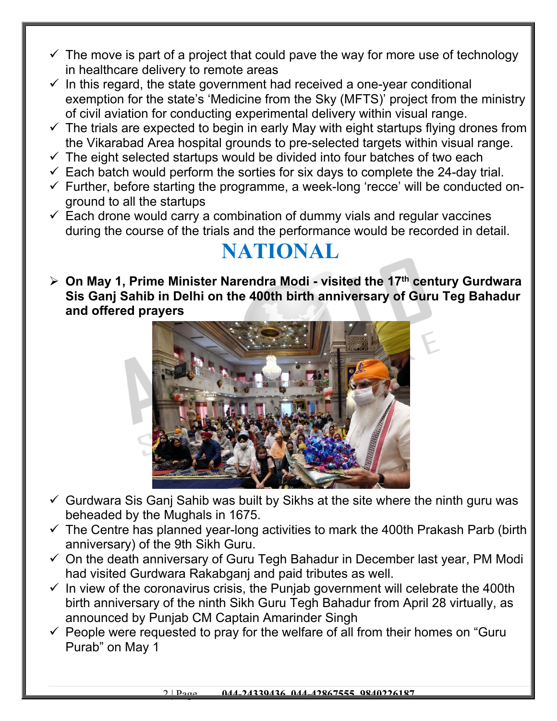- $\checkmark$  The move is part of a project that could pave the way for more use of technology in healthcare delivery to remote areas
- $\checkmark$  In this regard, the state government had received a one-year conditional exemption for the state's 'Medicine from the Sky (MFTS)' project from the ministry of civil aviation for conducting experimental delivery within visual range.
- $\checkmark$  The trials are expected to begin in early May with eight startups flying drones from the Vikarabad Area hospital grounds to pre-selected targets within visual range.
- $\checkmark$  The eight selected startups would be divided into four batches of two each
- $\checkmark$  Each batch would perform the sorties for six days to complete the 24-day trial.
- $\checkmark$  Further, before starting the programme, a week-long 'recce' will be conducted onground to all the startups
- $\checkmark$  Each drone would carry a combination of dummy vials and regular vaccines during the course of the trials and the performance would be recorded in detail.

#### **NATIONAL**

 **On May 1, Prime Minister Narendra Modi - visited the 17th century Gurdwara Sis Ganj Sahib in Delhi on the 400th birth anniversary of Guru Teg Bahadur and offered prayers**



- $\checkmark$  Gurdwara Sis Ganj Sahib was built by Sikhs at the site where the ninth guru was beheaded by the Mughals in 1675.
- $\checkmark$  The Centre has planned year-long activities to mark the 400th Prakash Parb (birth anniversary) of the 9th Sikh Guru.
- $\checkmark$  On the death anniversary of Guru Tegh Bahadur in December last year, PM Modi had visited Gurdwara Rakabganj and paid tributes as well.
- $\checkmark$  In view of the coronavirus crisis, the Punjab government will celebrate the 400th birth anniversary of the ninth Sikh Guru Tegh Bahadur from April 28 virtually, as announced by Punjab CM Captain Amarinder Singh
- $\checkmark$  People were requested to pray for the welfare of all from their homes on "Guru" Purab" on May 1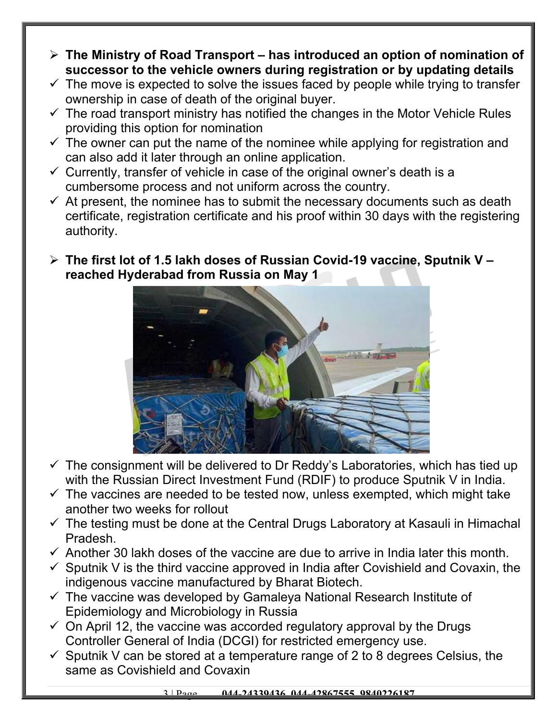- **The Ministry of Road Transport has introduced an option of nomination of successor to the vehicle owners during registration or by updating details**
- $\checkmark$  The move is expected to solve the issues faced by people while trying to transfer ownership in case of death of the original buyer.
- $\checkmark$  The road transport ministry has notified the changes in the Motor Vehicle Rules providing this option for nomination
- $\checkmark$  The owner can put the name of the nominee while applying for registration and can also add it later through an online application.
- $\checkmark$  Currently, transfer of vehicle in case of the original owner's death is a cumbersome process and not uniform across the country.
- $\checkmark$  At present, the nominee has to submit the necessary documents such as death certificate, registration certificate and his proof within 30 days with the registering authority.
- **The first lot of 1.5 lakh doses of Russian Covid-19 vaccine, Sputnik V reached Hyderabad from Russia on May 1**



- $\checkmark$  The consignment will be delivered to Dr Reddy's Laboratories, which has tied up with the Russian Direct Investment Fund (RDIF) to produce Sputnik V in India.
- $\checkmark$  The vaccines are needed to be tested now, unless exempted, which might take another two weeks for rollout
- $\checkmark$  The testing must be done at the Central Drugs Laboratory at Kasauli in Himachal Pradesh.
- $\checkmark$  Another 30 lakh doses of the vaccine are due to arrive in India later this month.
- $\checkmark$  Sputnik V is the third vaccine approved in India after Covishield and Covaxin, the indigenous vaccine manufactured by Bharat Biotech.
- $\checkmark$  The vaccine was developed by Gamaleya National Research Institute of Epidemiology and Microbiology in Russia
- $\checkmark$  On April 12, the vaccine was accorded regulatory approval by the Drugs Controller General of India (DCGI) for restricted emergency use.
- $\checkmark$  Sputnik V can be stored at a temperature range of 2 to 8 degrees Celsius, the same as Covishield and Covaxin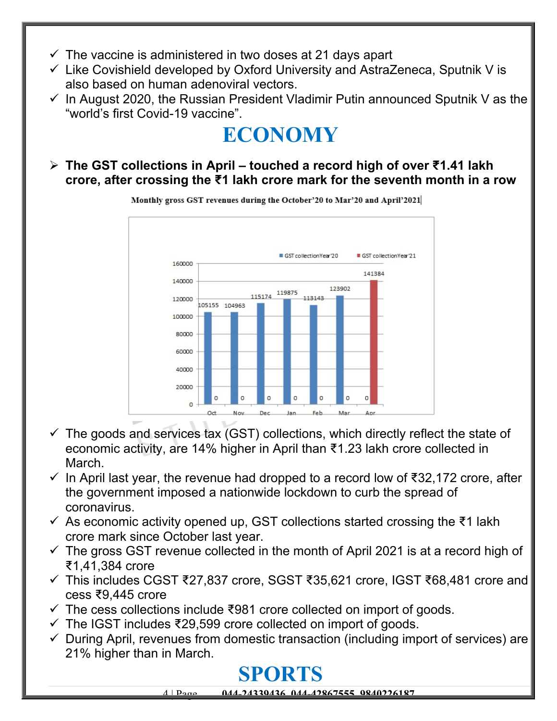- $\checkmark$  The vaccine is administered in two doses at 21 days apart
- $\checkmark$  Like Covishield developed by Oxford University and AstraZeneca, Sputnik V is also based on human adenoviral vectors.
- $\checkmark$  In August 2020, the Russian President Vladimir Putin announced Sputnik V as the "world's first Covid-19 vaccine".

## **ECONOMY**

 **The GST collections in April – touched a record high of over ₹1.41 lakh crore, after crossing the ₹1 lakh crore mark for the seventh month in a row** 



Monthly gross GST revenues during the October'20 to Mar'20 and April'2021

- $\checkmark$  The goods and services tax (GST) collections, which directly reflect the state of economic activity, are 14% higher in April than ₹1.23 lakh crore collected in March.
- $\checkmark$  In April last year, the revenue had dropped to a record low of ₹32,172 crore, after the government imposed a nationwide lockdown to curb the spread of coronavirus.
- $\checkmark$  As economic activity opened up, GST collections started crossing the ₹1 lakh crore mark since October last year.
- $\checkmark$  The gross GST revenue collected in the month of April 2021 is at a record high of ₹1,41,384 crore
- This includes CGST ₹27,837 crore, SGST ₹35,621 crore, IGST ₹68,481 crore and cess ₹9,445 crore
- $\checkmark$  The cess collections include ₹981 crore collected on import of goods.
- $\checkmark$  The IGST includes ₹29,599 crore collected on import of goods.
- $\checkmark$  During April, revenues from domestic transaction (including import of services) are 21% higher than in March.

### **SPORTS**

4 | Page **044-24339436, 044-42867555, 9840226187**